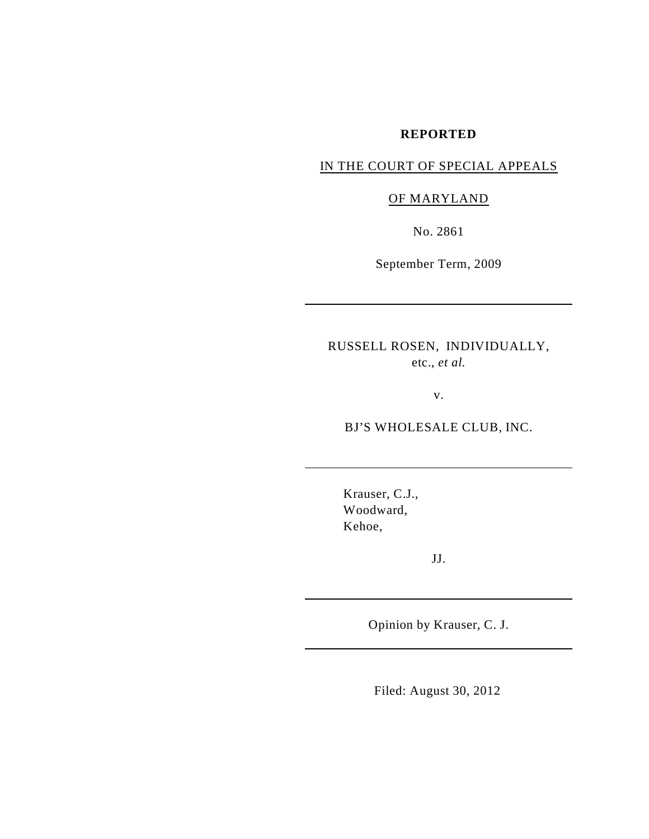## **REPORTED**

# IN THE COURT OF SPECIAL APPEALS

# OF MARYLAND

No. 2861

September Term, 2009

RUSSELL ROSEN, INDIVIDUALLY, etc., *et al.*

v.

BJ'S WHOLESALE CLUB, INC.

Krauser, C.J., Woodward, Kehoe,

JJ.

Opinion by Krauser, C. J.

Filed: August 30, 2012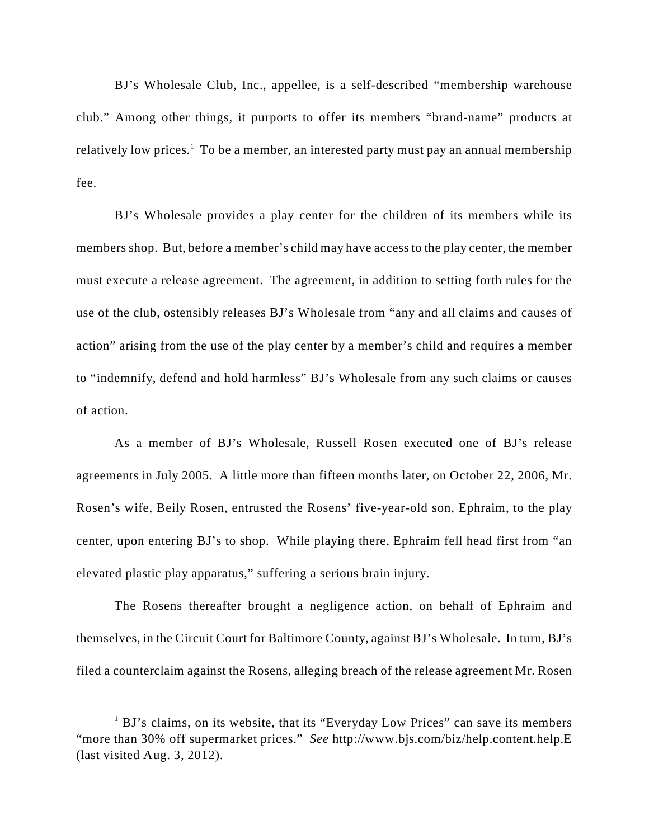BJ's Wholesale Club, Inc., appellee, is a self-described "membership warehouse club." Among other things, it purports to offer its members "brand-name" products at relatively low prices.<sup>1</sup> To be a member, an interested party must pay an annual membership fee.

BJ's Wholesale provides a play center for the children of its members while its members shop. But, before a member's child may have access to the play center, the member must execute a release agreement. The agreement, in addition to setting forth rules for the use of the club, ostensibly releases BJ's Wholesale from "any and all claims and causes of action" arising from the use of the play center by a member's child and requires a member to "indemnify, defend and hold harmless" BJ's Wholesale from any such claims or causes of action.

As a member of BJ's Wholesale, Russell Rosen executed one of BJ's release agreements in July 2005. A little more than fifteen months later, on October 22, 2006, Mr. Rosen's wife, Beily Rosen, entrusted the Rosens' five-year-old son, Ephraim, to the play center, upon entering BJ's to shop. While playing there, Ephraim fell head first from "an elevated plastic play apparatus," suffering a serious brain injury.

The Rosens thereafter brought a negligence action, on behalf of Ephraim and themselves, in the Circuit Court for Baltimore County, against BJ's Wholesale. In turn, BJ's filed a counterclaim against the Rosens, alleging breach of the release agreement Mr. Rosen

 $1$  BJ's claims, on its website, that its "Everyday Low Prices" can save its members "more than 30% off supermarket prices." *See* http://www.bjs.com/biz/help.content.help.E (last visited Aug. 3, 2012).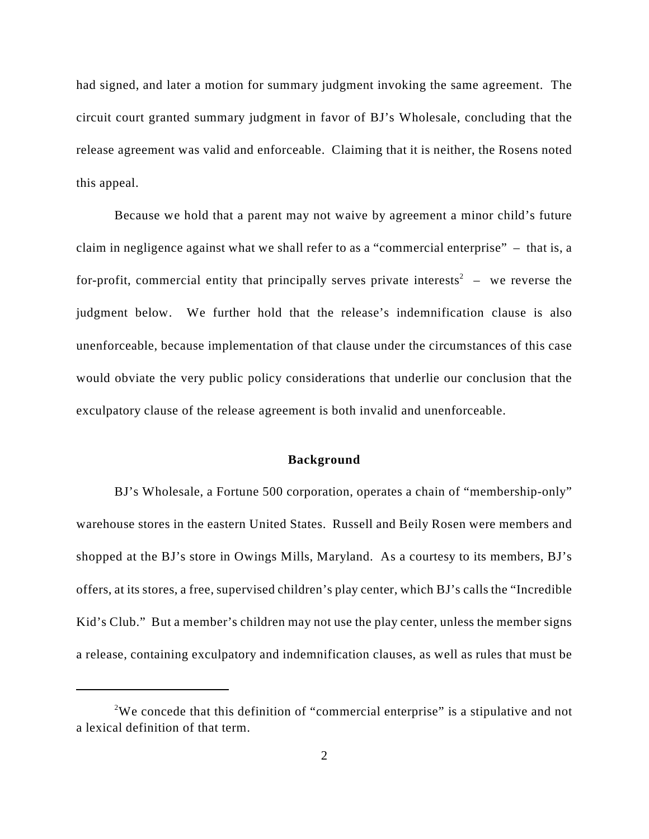had signed, and later a motion for summary judgment invoking the same agreement. The circuit court granted summary judgment in favor of BJ's Wholesale, concluding that the release agreement was valid and enforceable. Claiming that it is neither, the Rosens noted this appeal.

Because we hold that a parent may not waive by agreement a minor child's future claim in negligence against what we shall refer to as a "commercial enterprise" – that is, a for-profit, commercial entity that principally serves private interests<sup>2</sup> – we reverse the judgment below. We further hold that the release's indemnification clause is also unenforceable, because implementation of that clause under the circumstances of this case would obviate the very public policy considerations that underlie our conclusion that the exculpatory clause of the release agreement is both invalid and unenforceable.

#### **Background**

BJ's Wholesale, a Fortune 500 corporation, operates a chain of "membership-only" warehouse stores in the eastern United States. Russell and Beily Rosen were members and shopped at the BJ's store in Owings Mills, Maryland. As a courtesy to its members, BJ's offers, at its stores, a free, supervised children's play center, which BJ's calls the "Incredible Kid's Club." But a member's children may not use the play center, unless the member signs a release, containing exculpatory and indemnification clauses, as well as rules that must be

<sup>&</sup>lt;sup>2</sup>We concede that this definition of "commercial enterprise" is a stipulative and not a lexical definition of that term.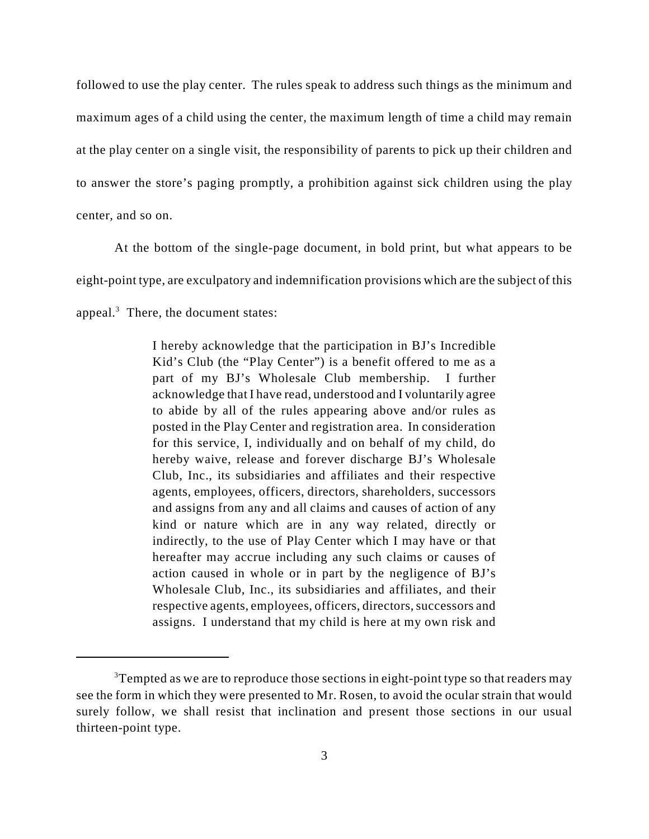followed to use the play center. The rules speak to address such things as the minimum and maximum ages of a child using the center, the maximum length of time a child may remain at the play center on a single visit, the responsibility of parents to pick up their children and to answer the store's paging promptly, a prohibition against sick children using the play center, and so on.

At the bottom of the single-page document, in bold print, but what appears to be eight-point type, are exculpatory and indemnification provisions which are the subject of this appeal. $3$  There, the document states:

> I hereby acknowledge that the participation in BJ's Incredible Kid's Club (the "Play Center") is a benefit offered to me as a part of my BJ's Wholesale Club membership. I further acknowledge that I have read, understood and I voluntarily agree to abide by all of the rules appearing above and/or rules as posted in the Play Center and registration area. In consideration for this service, I, individually and on behalf of my child, do hereby waive, release and forever discharge BJ's Wholesale Club, Inc., its subsidiaries and affiliates and their respective agents, employees, officers, directors, shareholders, successors and assigns from any and all claims and causes of action of any kind or nature which are in any way related, directly or indirectly, to the use of Play Center which I may have or that hereafter may accrue including any such claims or causes of action caused in whole or in part by the negligence of BJ's Wholesale Club, Inc., its subsidiaries and affiliates, and their respective agents, employees, officers, directors, successors and assigns. I understand that my child is here at my own risk and

 $3$ Tempted as we are to reproduce those sections in eight-point type so that readers may see the form in which they were presented to Mr. Rosen, to avoid the ocular strain that would surely follow, we shall resist that inclination and present those sections in our usual thirteen-point type.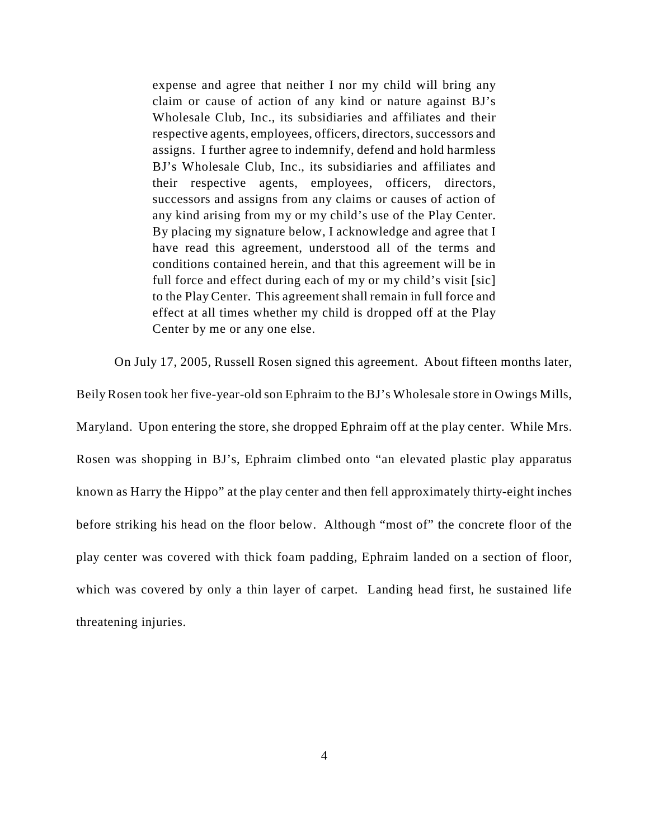expense and agree that neither I nor my child will bring any claim or cause of action of any kind or nature against BJ's Wholesale Club, Inc., its subsidiaries and affiliates and their respective agents, employees, officers, directors, successors and assigns. I further agree to indemnify, defend and hold harmless BJ's Wholesale Club, Inc., its subsidiaries and affiliates and their respective agents, employees, officers, directors, successors and assigns from any claims or causes of action of any kind arising from my or my child's use of the Play Center. By placing my signature below, I acknowledge and agree that I have read this agreement, understood all of the terms and conditions contained herein, and that this agreement will be in full force and effect during each of my or my child's visit [sic] to the Play Center. This agreement shall remain in full force and effect at all times whether my child is dropped off at the Play Center by me or any one else.

On July 17, 2005, Russell Rosen signed this agreement. About fifteen months later,

Beily Rosen took her five-year-old son Ephraim to the BJ's Wholesale store in Owings Mills, Maryland. Upon entering the store, she dropped Ephraim off at the play center. While Mrs. Rosen was shopping in BJ's, Ephraim climbed onto "an elevated plastic play apparatus known as Harry the Hippo" at the play center and then fell approximately thirty-eight inches before striking his head on the floor below. Although "most of" the concrete floor of the play center was covered with thick foam padding, Ephraim landed on a section of floor, which was covered by only a thin layer of carpet. Landing head first, he sustained life threatening injuries.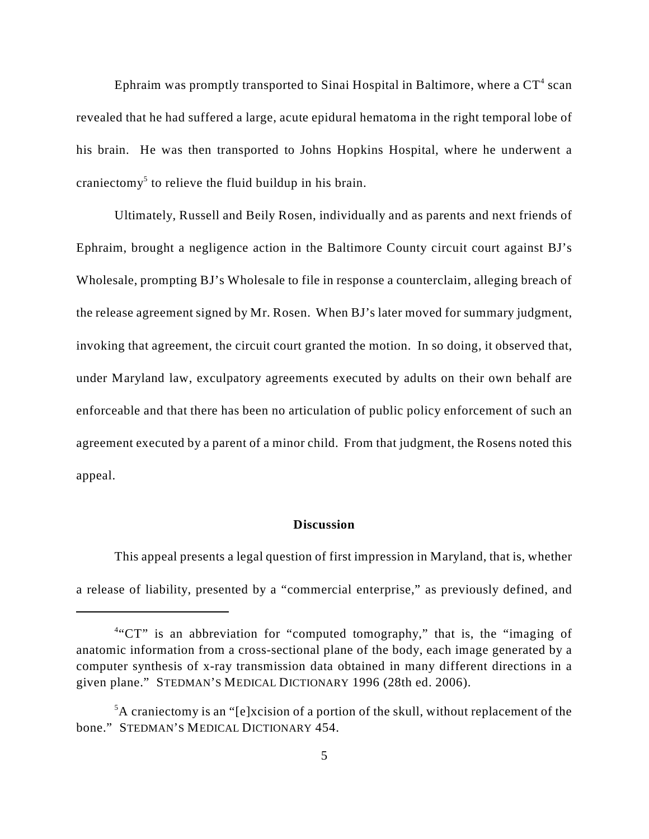Ephraim was promptly transported to Sinai Hospital in Baltimore, where a  $CT^4$  scan revealed that he had suffered a large, acute epidural hematoma in the right temporal lobe of his brain. He was then transported to Johns Hopkins Hospital, where he underwent a craniectomy<sup>5</sup> to relieve the fluid buildup in his brain.

Ultimately, Russell and Beily Rosen, individually and as parents and next friends of Ephraim, brought a negligence action in the Baltimore County circuit court against BJ's Wholesale, prompting BJ's Wholesale to file in response a counterclaim, alleging breach of the release agreement signed by Mr. Rosen. When BJ's later moved for summary judgment, invoking that agreement, the circuit court granted the motion. In so doing, it observed that, under Maryland law, exculpatory agreements executed by adults on their own behalf are enforceable and that there has been no articulation of public policy enforcement of such an agreement executed by a parent of a minor child. From that judgment, the Rosens noted this appeal.

## **Discussion**

This appeal presents a legal question of first impression in Maryland, that is, whether a release of liability, presented by a "commercial enterprise," as previously defined, and

<sup>&</sup>lt;sup>4"</sup>CT" is an abbreviation for "computed tomography," that is, the "imaging of anatomic information from a cross-sectional plane of the body, each image generated by a computer synthesis of x-ray transmission data obtained in many different directions in a given plane." STEDMAN'S MEDICAL DICTIONARY 1996 (28th ed. 2006).

 ${}^5$ A craniectomy is an "[e]xcision of a portion of the skull, without replacement of the bone." STEDMAN'S MEDICAL DICTIONARY 454.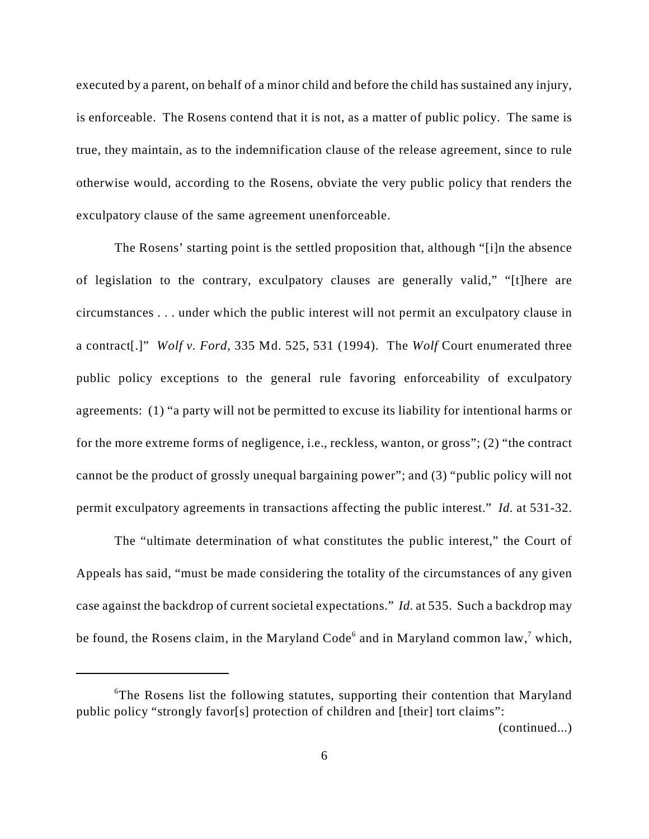executed by a parent, on behalf of a minor child and before the child has sustained any injury, is enforceable. The Rosens contend that it is not, as a matter of public policy. The same is true, they maintain, as to the indemnification clause of the release agreement, since to rule otherwise would, according to the Rosens, obviate the very public policy that renders the exculpatory clause of the same agreement unenforceable.

The Rosens' starting point is the settled proposition that, although "[i]n the absence of legislation to the contrary, exculpatory clauses are generally valid," "[t]here are circumstances . . . under which the public interest will not permit an exculpatory clause in a contract[.]" *Wolf v. Ford*, 335 Md. 525, 531 (1994). The *Wolf* Court enumerated three public policy exceptions to the general rule favoring enforceability of exculpatory agreements: (1) "a party will not be permitted to excuse its liability for intentional harms or for the more extreme forms of negligence, i.e., reckless, wanton, or gross"; (2) "the contract cannot be the product of grossly unequal bargaining power"; and (3) "public policy will not permit exculpatory agreements in transactions affecting the public interest." *Id.* at 531-32.

The "ultimate determination of what constitutes the public interest," the Court of Appeals has said, "must be made considering the totality of the circumstances of any given case against the backdrop of current societal expectations." *Id.* at 535. Such a backdrop may be found, the Rosens claim, in the Maryland Code<sup>6</sup> and in Maryland common law,<sup>7</sup> which,

(continued...)

 ${}^6$ The Rosens list the following statutes, supporting their contention that Maryland public policy "strongly favor[s] protection of children and [their] tort claims":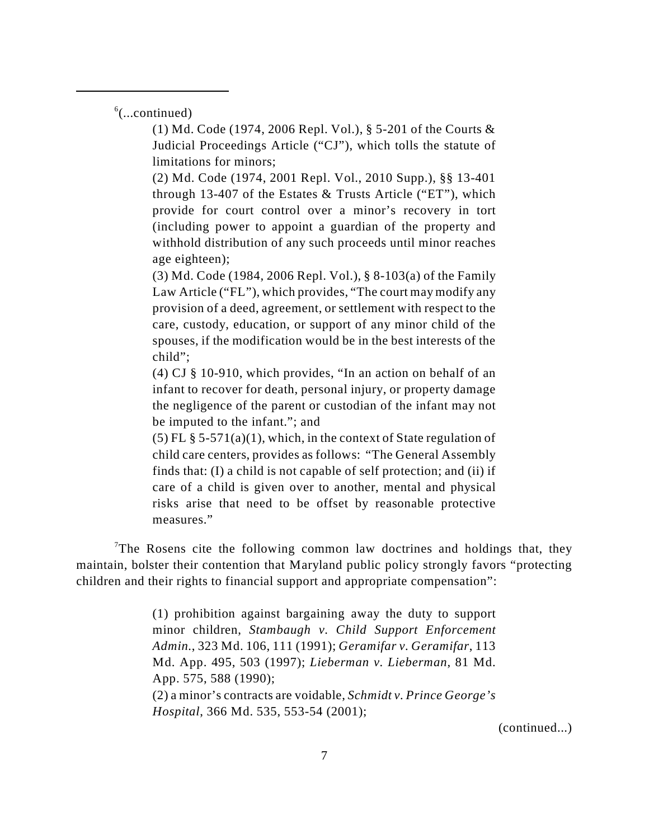$<sup>6</sup>$ (...continued)</sup>

(1) Md. Code (1974, 2006 Repl. Vol.), § 5-201 of the Courts & Judicial Proceedings Article ("CJ"), which tolls the statute of limitations for minors;

(2) Md. Code (1974, 2001 Repl. Vol., 2010 Supp.), §§ 13-401 through 13-407 of the Estates & Trusts Article ("ET"), which provide for court control over a minor's recovery in tort (including power to appoint a guardian of the property and withhold distribution of any such proceeds until minor reaches age eighteen);

(3) Md. Code (1984, 2006 Repl. Vol.), § 8-103(a) of the Family Law Article ("FL"), which provides, "The court may modify any provision of a deed, agreement, or settlement with respect to the care, custody, education, or support of any minor child of the spouses, if the modification would be in the best interests of the child";

(4) CJ § 10-910, which provides, "In an action on behalf of an infant to recover for death, personal injury, or property damage the negligence of the parent or custodian of the infant may not be imputed to the infant."; and

(5) FL  $\S$  5-571(a)(1), which, in the context of State regulation of child care centers, provides as follows: "The General Assembly finds that: (I) a child is not capable of self protection; and (ii) if care of a child is given over to another, mental and physical risks arise that need to be offset by reasonable protective measures."

<sup>7</sup>The Rosens cite the following common law doctrines and holdings that, they maintain, bolster their contention that Maryland public policy strongly favors "protecting children and their rights to financial support and appropriate compensation":

> (1) prohibition against bargaining away the duty to support minor children, *Stambaugh v. Child Support Enforcement Admin.*, 323 Md. 106, 111 (1991); *Geramifar v. Geramifar*, 113 Md. App. 495, 503 (1997); *Lieberman v. Lieberman*, 81 Md. App. 575, 588 (1990); (2) a minor's contracts are voidable, *Schmidt v. Prince George's Hospital*, 366 Md. 535, 553-54 (2001);

> > (continued...)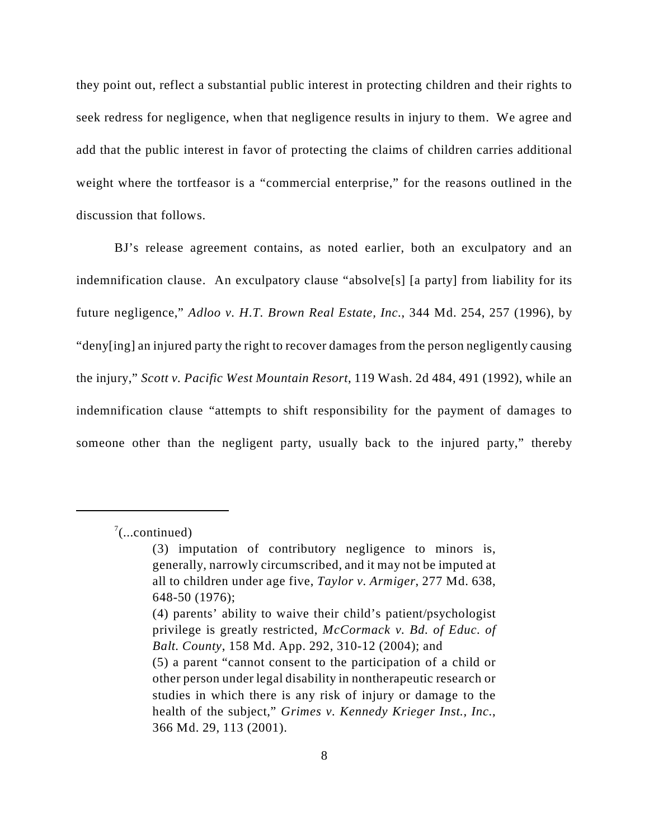they point out, reflect a substantial public interest in protecting children and their rights to seek redress for negligence, when that negligence results in injury to them. We agree and add that the public interest in favor of protecting the claims of children carries additional weight where the tortfeasor is a "commercial enterprise," for the reasons outlined in the discussion that follows.

BJ's release agreement contains, as noted earlier, both an exculpatory and an indemnification clause. An exculpatory clause "absolve[s] [a party] from liability for its future negligence," *Adloo v. H.T. Brown Real Estate, Inc.*, 344 Md. 254, 257 (1996), by "deny[ing] an injured party the right to recover damages from the person negligently causing the injury," *Scott v. Pacific West Mountain Resort*, 119 Wash. 2d 484, 491 (1992), while an indemnification clause "attempts to shift responsibility for the payment of damages to someone other than the negligent party, usually back to the injured party," thereby

 $\frac{7}{2}$ (...continued)

<sup>(3)</sup> imputation of contributory negligence to minors is, generally, narrowly circumscribed, and it may not be imputed at all to children under age five, *Taylor v. Armiger*, 277 Md. 638, 648-50 (1976); (4) parents' ability to waive their child's patient/psychologist privilege is greatly restricted, *McCormack v. Bd. of Educ. of Balt. County*, 158 Md. App. 292, 310-12 (2004); and (5) a parent "cannot consent to the participation of a child or other person under legal disability in nontherapeutic research or studies in which there is any risk of injury or damage to the health of the subject," *Grimes v. Kennedy Krieger Inst., Inc.*, 366 Md. 29, 113 (2001).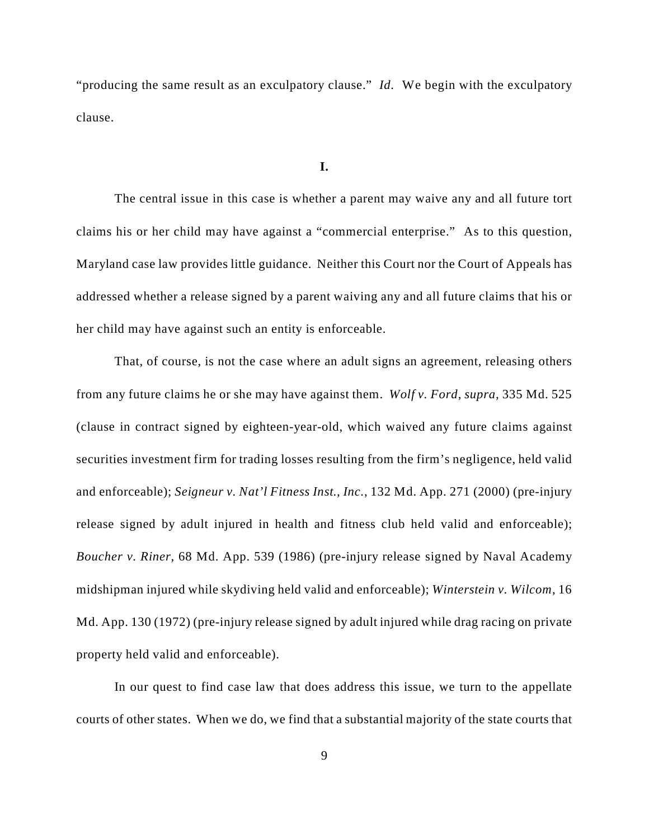"producing the same result as an exculpatory clause." *Id.* We begin with the exculpatory clause.

### **I.**

The central issue in this case is whether a parent may waive any and all future tort claims his or her child may have against a "commercial enterprise." As to this question, Maryland case law provides little guidance. Neither this Court nor the Court of Appeals has addressed whether a release signed by a parent waiving any and all future claims that his or her child may have against such an entity is enforceable.

That, of course, is not the case where an adult signs an agreement, releasing others from any future claims he or she may have against them. *Wolf v. Ford*, *supra*, 335 Md. 525 (clause in contract signed by eighteen-year-old, which waived any future claims against securities investment firm for trading losses resulting from the firm's negligence, held valid and enforceable); *Seigneur v. Nat'l Fitness Inst., Inc.*, 132 Md. App. 271 (2000) (pre-injury release signed by adult injured in health and fitness club held valid and enforceable); *Boucher v. Riner*, 68 Md. App. 539 (1986) (pre-injury release signed by Naval Academy midshipman injured while skydiving held valid and enforceable); *Winterstein v. Wilcom*, 16 Md. App. 130 (1972) (pre-injury release signed by adult injured while drag racing on private property held valid and enforceable).

In our quest to find case law that does address this issue, we turn to the appellate courts of other states. When we do, we find that a substantial majority of the state courts that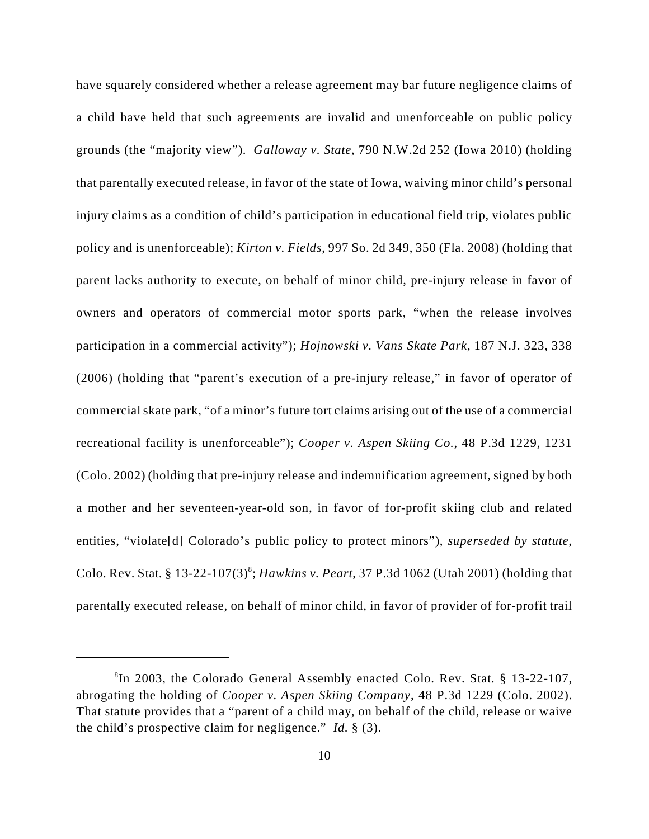have squarely considered whether a release agreement may bar future negligence claims of a child have held that such agreements are invalid and unenforceable on public policy grounds (the "majority view"). *Galloway v. State*, 790 N.W.2d 252 (Iowa 2010) (holding that parentally executed release, in favor of the state of Iowa, waiving minor child's personal injury claims as a condition of child's participation in educational field trip, violates public policy and is unenforceable); *Kirton v. Fields*, 997 So. 2d 349, 350 (Fla. 2008) (holding that parent lacks authority to execute, on behalf of minor child, pre-injury release in favor of owners and operators of commercial motor sports park, "when the release involves participation in a commercial activity"); *Hojnowski v. Vans Skate Park*, 187 N.J. 323, 338 (2006) (holding that "parent's execution of a pre-injury release," in favor of operator of commercial skate park, "of a minor's future tort claims arising out of the use of a commercial recreational facility is unenforceable"); *Cooper v. Aspen Skiing Co.*, 48 P.3d 1229, 1231 (Colo. 2002) (holding that pre-injury release and indemnification agreement, signed by both a mother and her seventeen-year-old son, in favor of for-profit skiing club and related entities, "violate[d] Colorado's public policy to protect minors"), *superseded by statute*, Colo. Rev. Stat. § 13-22-107(3) ; *Hawkins v. Peart*, 37 P.3d 1062 (Utah 2001) (holding that <sup>8</sup> parentally executed release, on behalf of minor child, in favor of provider of for-profit trail

 ${}^{8}$ In 2003, the Colorado General Assembly enacted Colo. Rev. Stat. § 13-22-107, abrogating the holding of *Cooper v. Aspen Skiing Company*, 48 P.3d 1229 (Colo. 2002). That statute provides that a "parent of a child may, on behalf of the child, release or waive the child's prospective claim for negligence." *Id.* § (3).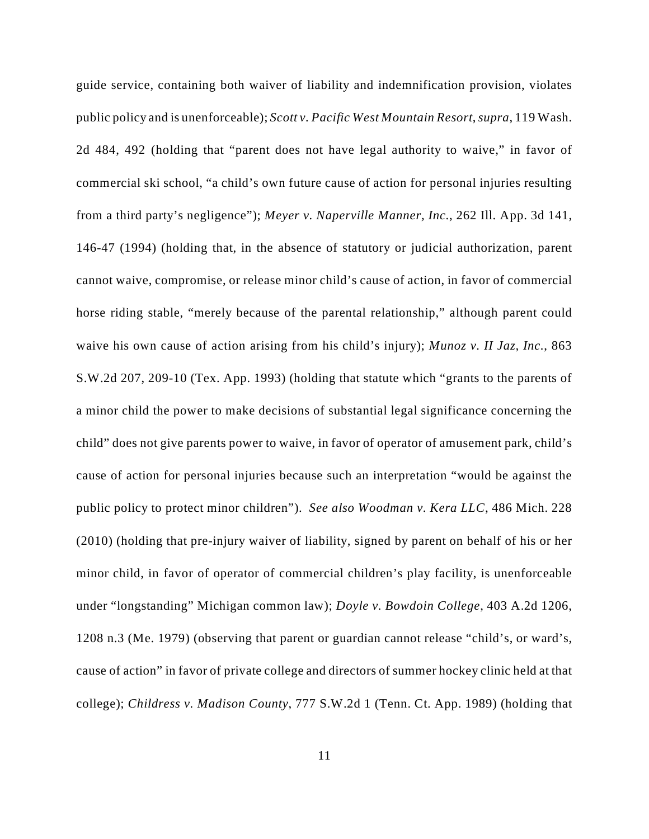guide service, containing both waiver of liability and indemnification provision, violates public policy and is unenforceable); *Scott v. Pacific West Mountain Resort*, *supra*, 119 Wash. 2d 484, 492 (holding that "parent does not have legal authority to waive," in favor of commercial ski school, "a child's own future cause of action for personal injuries resulting from a third party's negligence"); *Meyer v. Naperville Manner, Inc.*, 262 Ill. App. 3d 141, 146-47 (1994) (holding that, in the absence of statutory or judicial authorization, parent cannot waive, compromise, or release minor child's cause of action, in favor of commercial horse riding stable, "merely because of the parental relationship," although parent could waive his own cause of action arising from his child's injury); *Munoz v. II Jaz, Inc.*, 863 S.W.2d 207, 209-10 (Tex. App. 1993) (holding that statute which "grants to the parents of a minor child the power to make decisions of substantial legal significance concerning the child" does not give parents power to waive, in favor of operator of amusement park, child's cause of action for personal injuries because such an interpretation "would be against the public policy to protect minor children"). *See also Woodman v. Kera LLC*, 486 Mich. 228 (2010) (holding that pre-injury waiver of liability, signed by parent on behalf of his or her minor child, in favor of operator of commercial children's play facility, is unenforceable under "longstanding" Michigan common law); *Doyle v. Bowdoin College*, 403 A.2d 1206, 1208 n.3 (Me. 1979) (observing that parent or guardian cannot release "child's, or ward's, cause of action" in favor of private college and directors of summer hockey clinic held at that college); *Childress v. Madison County*, 777 S.W.2d 1 (Tenn. Ct. App. 1989) (holding that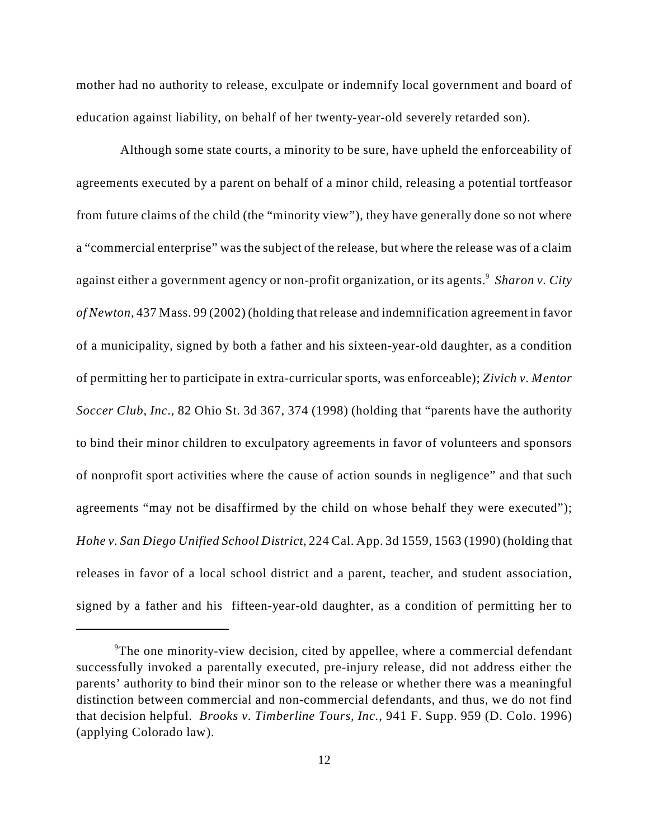mother had no authority to release, exculpate or indemnify local government and board of education against liability, on behalf of her twenty-year-old severely retarded son).

 Although some state courts, a minority to be sure, have upheld the enforceability of agreements executed by a parent on behalf of a minor child, releasing a potential tortfeasor from future claims of the child (the "minority view"), they have generally done so not where a "commercial enterprise" was the subject of the release, but where the release was of a claim against either a government agency or non-profit organization, or its agents.<sup>9</sup> Sharon v. City *of Newton*, 437 Mass. 99 (2002) (holding that release and indemnification agreement in favor of a municipality, signed by both a father and his sixteen-year-old daughter, as a condition of permitting her to participate in extra-curricular sports, was enforceable); *Zivich v. Mentor Soccer Club, Inc.*, 82 Ohio St. 3d 367, 374 (1998) (holding that "parents have the authority to bind their minor children to exculpatory agreements in favor of volunteers and sponsors of nonprofit sport activities where the cause of action sounds in negligence" and that such agreements "may not be disaffirmed by the child on whose behalf they were executed"); *Hohe v. San Diego Unified School District*, 224 Cal. App. 3d 1559, 1563 (1990) (holding that releases in favor of a local school district and a parent, teacher, and student association, signed by a father and his fifteen-year-old daughter, as a condition of permitting her to

<sup>&</sup>lt;sup>9</sup>The one minority-view decision, cited by appellee, where a commercial defendant successfully invoked a parentally executed, pre-injury release, did not address either the parents' authority to bind their minor son to the release or whether there was a meaningful distinction between commercial and non-commercial defendants, and thus, we do not find that decision helpful. *Brooks v. Timberline Tours, Inc.*, 941 F. Supp. 959 (D. Colo. 1996) (applying Colorado law).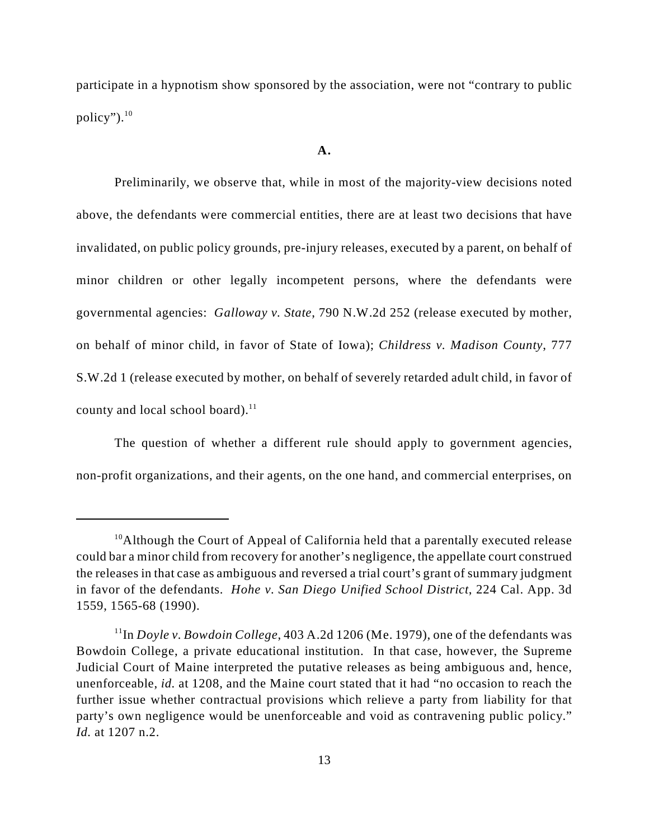participate in a hypnotism show sponsored by the association, were not "contrary to public policy"). $10$ 

### **A.**

Preliminarily, we observe that, while in most of the majority-view decisions noted above, the defendants were commercial entities, there are at least two decisions that have invalidated, on public policy grounds, pre-injury releases, executed by a parent, on behalf of minor children or other legally incompetent persons, where the defendants were governmental agencies: *Galloway v. State*, 790 N.W.2d 252 (release executed by mother, on behalf of minor child, in favor of State of Iowa); *Childress v. Madison County*, 777 S.W.2d 1 (release executed by mother, on behalf of severely retarded adult child, in favor of county and local school board). $^{11}$ 

The question of whether a different rule should apply to government agencies, non-profit organizations, and their agents, on the one hand, and commercial enterprises, on

 $10$ Although the Court of Appeal of California held that a parentally executed release could bar a minor child from recovery for another's negligence, the appellate court construed the releases in that case as ambiguous and reversed a trial court's grant of summary judgment in favor of the defendants. *Hohe v. San Diego Unified School District*, 224 Cal. App. 3d 1559, 1565-68 (1990).

 $11$ In *Doyle v. Bowdoin College*, 403 A.2d 1206 (Me. 1979), one of the defendants was Bowdoin College, a private educational institution. In that case, however, the Supreme Judicial Court of Maine interpreted the putative releases as being ambiguous and, hence, unenforceable, *id.* at 1208, and the Maine court stated that it had "no occasion to reach the further issue whether contractual provisions which relieve a party from liability for that party's own negligence would be unenforceable and void as contravening public policy." *Id.* at 1207 n.2.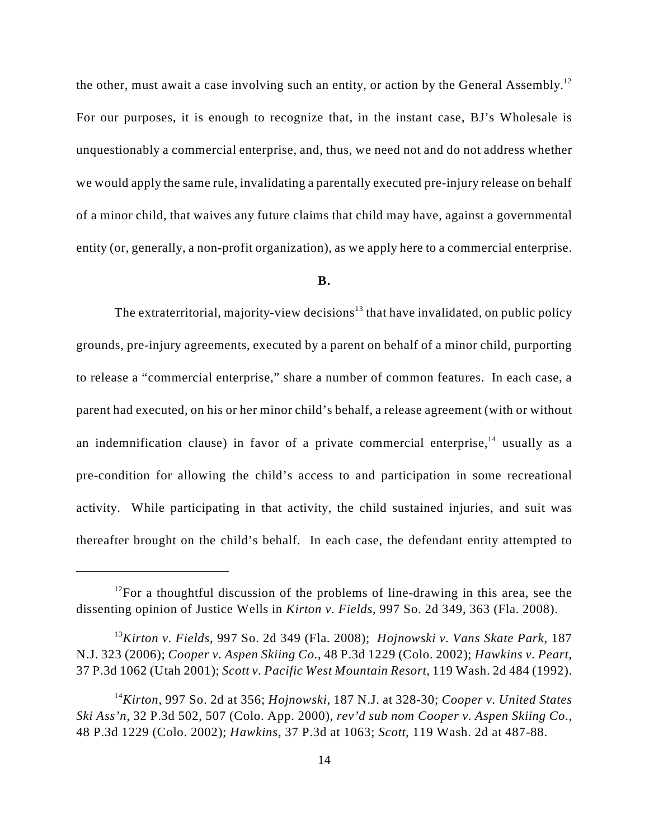the other, must await a case involving such an entity, or action by the General Assembly.<sup>12</sup> For our purposes, it is enough to recognize that, in the instant case, BJ's Wholesale is unquestionably a commercial enterprise, and, thus, we need not and do not address whether we would apply the same rule, invalidating a parentally executed pre-injury release on behalf of a minor child, that waives any future claims that child may have, against a governmental entity (or, generally, a non-profit organization), as we apply here to a commercial enterprise.

### **B.**

The extraterritorial, majority-view decisions<sup>13</sup> that have invalidated, on public policy grounds, pre-injury agreements, executed by a parent on behalf of a minor child, purporting to release a "commercial enterprise," share a number of common features. In each case, a parent had executed, on his or her minor child's behalf, a release agreement (with or without an indemnification clause) in favor of a private commercial enterprise,  $14$  usually as a pre-condition for allowing the child's access to and participation in some recreational activity. While participating in that activity, the child sustained injuries, and suit was thereafter brought on the child's behalf. In each case, the defendant entity attempted to

 $12$ For a thoughtful discussion of the problems of line-drawing in this area, see the dissenting opinion of Justice Wells in *Kirton v. Fields*, 997 So. 2d 349, 363 (Fla. 2008).

<sup>&</sup>lt;sup>13</sup> Kirton v. Fields, 997 So. 2d 349 (Fla. 2008); *Hojnowski v. Vans Skate Park*, 187 N.J. 323 (2006); *Cooper v. Aspen Skiing Co.*, 48 P.3d 1229 (Colo. 2002); *Hawkins v. Peart*, 37 P.3d 1062 (Utah 2001); *Scott v. Pacific West Mountain Resort*, 119 Wash. 2d 484 (1992).

*Kirton*, 997 So. 2d at 356; *Hojnowski*, 187 N.J. at 328-30; *Cooper v. United States* <sup>14</sup> *Ski Ass'n*, 32 P.3d 502, 507 (Colo. App. 2000), *rev'd sub nom Cooper v. Aspen Skiing Co.*, 48 P.3d 1229 (Colo. 2002); *Hawkins*, 37 P.3d at 1063; *Scott*, 119 Wash. 2d at 487-88.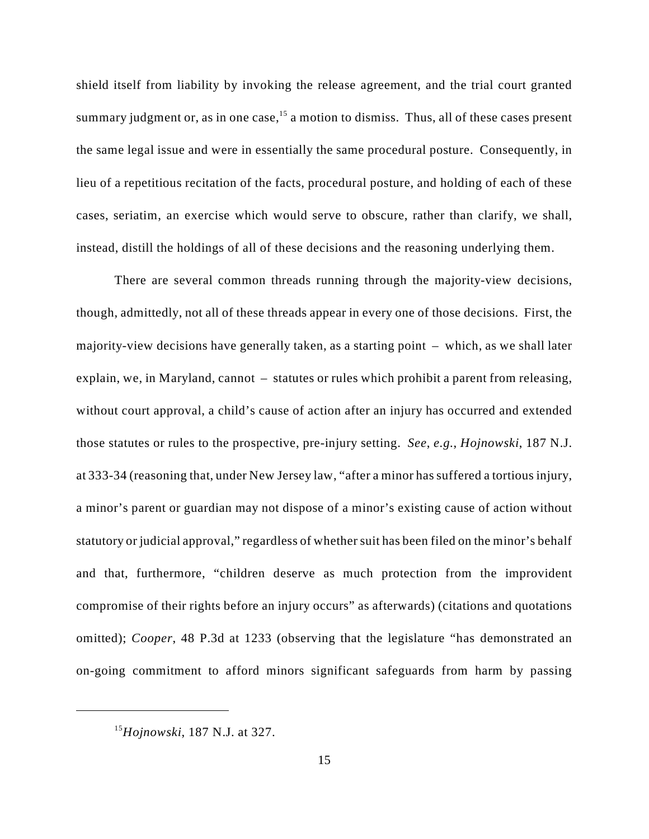shield itself from liability by invoking the release agreement, and the trial court granted summary judgment or, as in one case,  $15$  a motion to dismiss. Thus, all of these cases present the same legal issue and were in essentially the same procedural posture. Consequently, in lieu of a repetitious recitation of the facts, procedural posture, and holding of each of these cases, seriatim, an exercise which would serve to obscure, rather than clarify, we shall, instead, distill the holdings of all of these decisions and the reasoning underlying them.

There are several common threads running through the majority-view decisions, though, admittedly, not all of these threads appear in every one of those decisions. First, the majority-view decisions have generally taken, as a starting point – which, as we shall later explain, we, in Maryland, cannot – statutes or rules which prohibit a parent from releasing, without court approval, a child's cause of action after an injury has occurred and extended those statutes or rules to the prospective, pre-injury setting. *See*, *e.g.*, *Hojnowski*, 187 N.J. at 333-34 (reasoning that, under New Jersey law, "after a minor has suffered a tortious injury, a minor's parent or guardian may not dispose of a minor's existing cause of action without statutory or judicial approval," regardless of whether suit has been filed on the minor's behalf and that, furthermore, "children deserve as much protection from the improvident compromise of their rights before an injury occurs" as afterwards) (citations and quotations omitted); *Cooper*, 48 P.3d at 1233 (observing that the legislature "has demonstrated an on-going commitment to afford minors significant safeguards from harm by passing

<sup>&</sup>lt;sup>15</sup>Hojnowski, 187 N.J. at 327.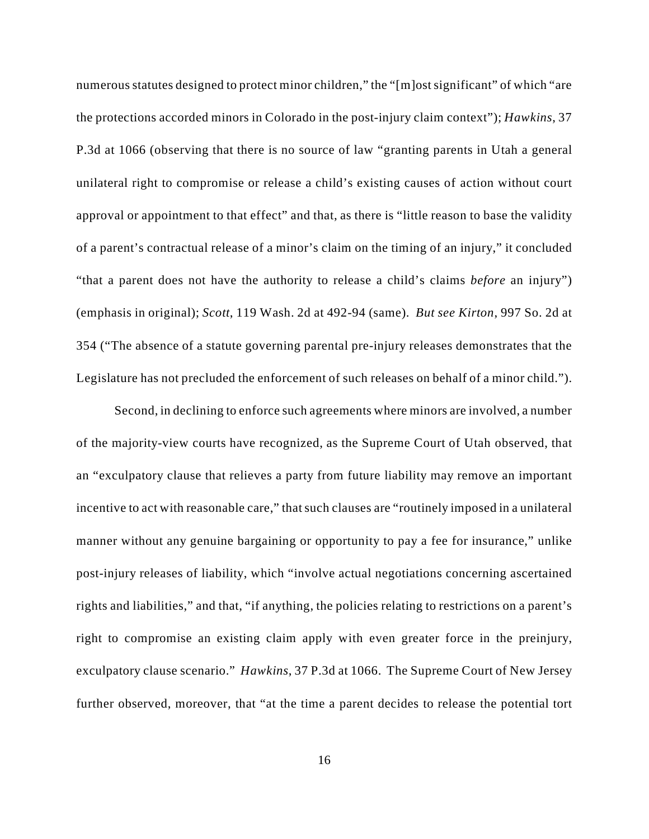numerous statutes designed to protect minor children," the "[m]ost significant" of which "are the protections accorded minors in Colorado in the post-injury claim context"); *Hawkins*, 37 P.3d at 1066 (observing that there is no source of law "granting parents in Utah a general unilateral right to compromise or release a child's existing causes of action without court approval or appointment to that effect" and that, as there is "little reason to base the validity of a parent's contractual release of a minor's claim on the timing of an injury," it concluded "that a parent does not have the authority to release a child's claims *before* an injury") (emphasis in original); *Scott*, 119 Wash. 2d at 492-94 (same). *But see Kirton*, 997 So. 2d at 354 ("The absence of a statute governing parental pre-injury releases demonstrates that the Legislature has not precluded the enforcement of such releases on behalf of a minor child.").

Second, in declining to enforce such agreements where minors are involved, a number of the majority-view courts have recognized, as the Supreme Court of Utah observed, that an "exculpatory clause that relieves a party from future liability may remove an important incentive to act with reasonable care," that such clauses are "routinely imposed in a unilateral manner without any genuine bargaining or opportunity to pay a fee for insurance," unlike post-injury releases of liability, which "involve actual negotiations concerning ascertained rights and liabilities," and that, "if anything, the policies relating to restrictions on a parent's right to compromise an existing claim apply with even greater force in the preinjury, exculpatory clause scenario." *Hawkins*, 37 P.3d at 1066. The Supreme Court of New Jersey further observed, moreover, that "at the time a parent decides to release the potential tort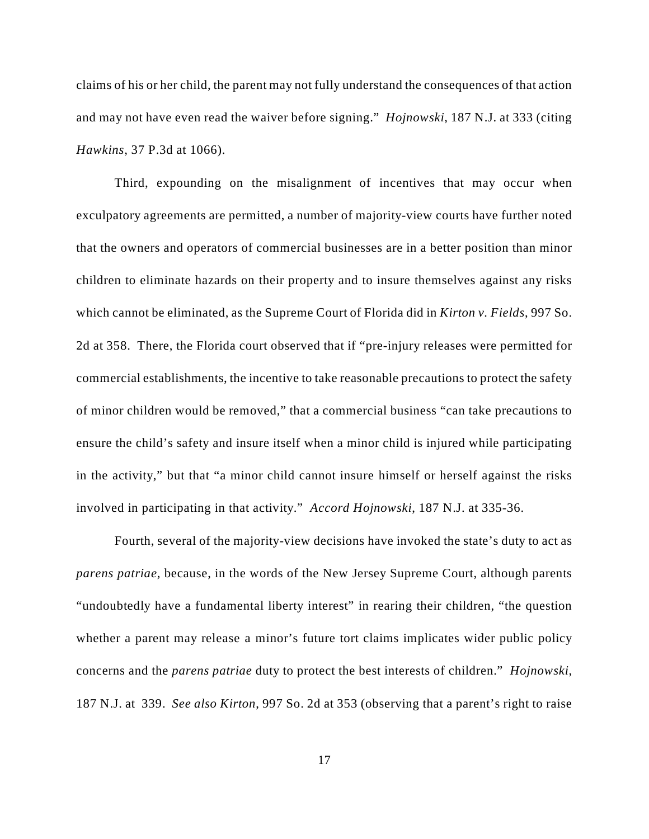claims of his or her child, the parent may not fully understand the consequences of that action and may not have even read the waiver before signing." *Hojnowski*, 187 N.J. at 333 (citing *Hawkins*, 37 P.3d at 1066).

Third, expounding on the misalignment of incentives that may occur when exculpatory agreements are permitted, a number of majority-view courts have further noted that the owners and operators of commercial businesses are in a better position than minor children to eliminate hazards on their property and to insure themselves against any risks which cannot be eliminated, as the Supreme Court of Florida did in *Kirton v. Fields*, 997 So. 2d at 358. There, the Florida court observed that if "pre-injury releases were permitted for commercial establishments, the incentive to take reasonable precautions to protect the safety of minor children would be removed," that a commercial business "can take precautions to ensure the child's safety and insure itself when a minor child is injured while participating in the activity," but that "a minor child cannot insure himself or herself against the risks involved in participating in that activity." *Accord Hojnowski*, 187 N.J. at 335-36.

Fourth, several of the majority-view decisions have invoked the state's duty to act as *parens patriae*, because, in the words of the New Jersey Supreme Court, although parents "undoubtedly have a fundamental liberty interest" in rearing their children, "the question whether a parent may release a minor's future tort claims implicates wider public policy concerns and the *parens patriae* duty to protect the best interests of children." *Hojnowski*, 187 N.J. at 339. *See also Kirton*, 997 So. 2d at 353 (observing that a parent's right to raise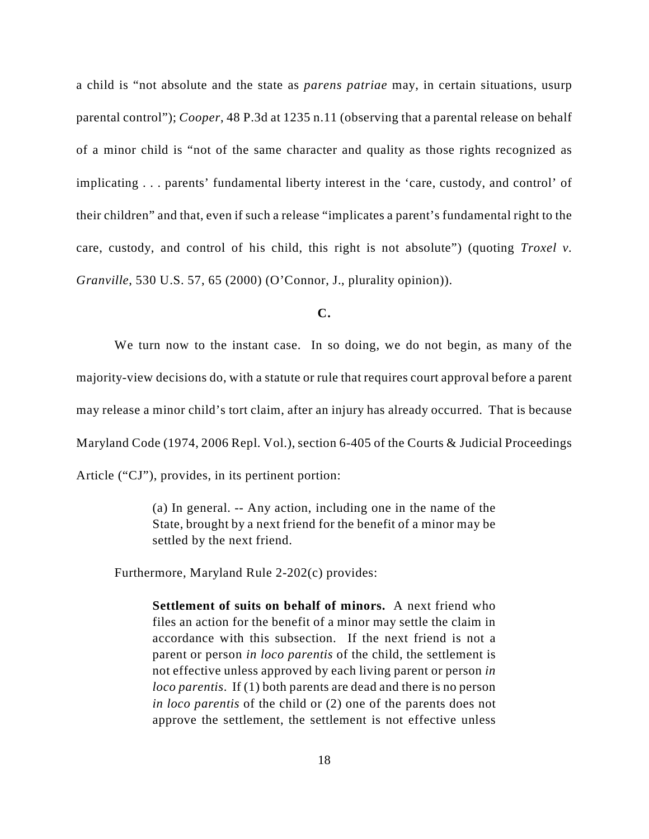a child is "not absolute and the state as *parens patriae* may, in certain situations, usurp parental control"); *Cooper*, 48 P.3d at 1235 n.11 (observing that a parental release on behalf of a minor child is "not of the same character and quality as those rights recognized as implicating . . . parents' fundamental liberty interest in the 'care, custody, and control' of their children" and that, even if such a release "implicates a parent's fundamental right to the care, custody, and control of his child, this right is not absolute") (quoting *Troxel v. Granville*, 530 U.S. 57, 65 (2000) (O'Connor, J., plurality opinion)).

**C.**

We turn now to the instant case. In so doing, we do not begin, as many of the majority-view decisions do, with a statute or rule that requires court approval before a parent may release a minor child's tort claim, after an injury has already occurred. That is because Maryland Code (1974, 2006 Repl. Vol.), section 6-405 of the Courts & Judicial Proceedings Article ("CJ"), provides, in its pertinent portion:

> (a) In general. -- Any action, including one in the name of the State, brought by a next friend for the benefit of a minor may be settled by the next friend.

Furthermore, Maryland Rule 2-202(c) provides:

**Settlement of suits on behalf of minors.** A next friend who files an action for the benefit of a minor may settle the claim in accordance with this subsection. If the next friend is not a parent or person *in loco parentis* of the child, the settlement is not effective unless approved by each living parent or person *in loco parentis*. If (1) both parents are dead and there is no person *in loco parentis* of the child or (2) one of the parents does not approve the settlement, the settlement is not effective unless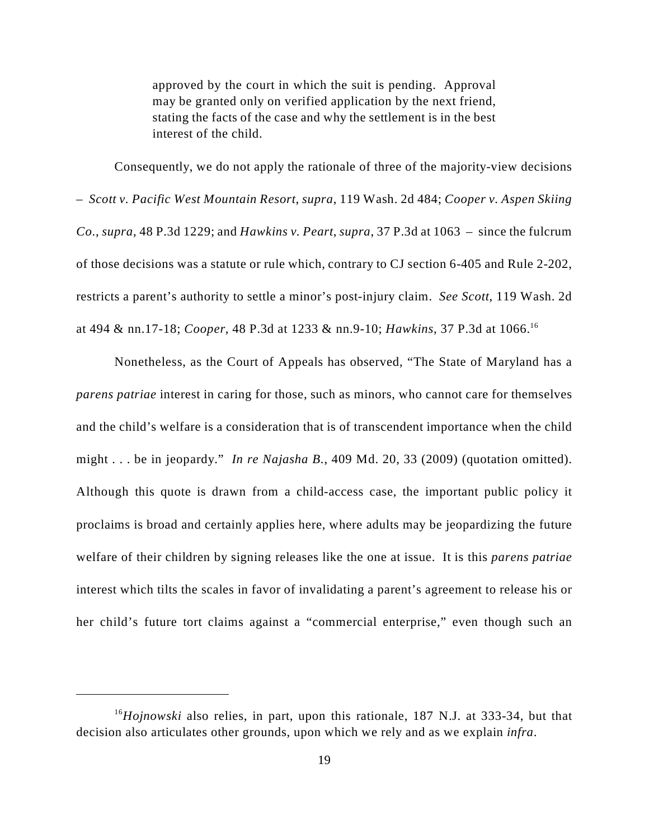approved by the court in which the suit is pending. Approval may be granted only on verified application by the next friend, stating the facts of the case and why the settlement is in the best interest of the child.

Consequently, we do not apply the rationale of three of the majority-view decisions – *Scott v. Pacific West Mountain Resort*, *supra*, 119 Wash. 2d 484; *Cooper v. Aspen Skiing Co.*, *supra*, 48 P.3d 1229; and *Hawkins v. Peart*, *supra*, 37 P.3d at 1063 – since the fulcrum of those decisions was a statute or rule which, contrary to CJ section 6-405 and Rule 2-202, restricts a parent's authority to settle a minor's post-injury claim. *See Scott*, 119 Wash. 2d at 494 & nn.17-18; *Cooper*, 48 P.3d at 1233 & nn.9-10; *Hawkins*, 37 P.3d at 1066.<sup>16</sup>

Nonetheless, as the Court of Appeals has observed, "The State of Maryland has a *parens patriae* interest in caring for those, such as minors, who cannot care for themselves and the child's welfare is a consideration that is of transcendent importance when the child might . . . be in jeopardy." *In re Najasha B.*, 409 Md. 20, 33 (2009) (quotation omitted). Although this quote is drawn from a child-access case, the important public policy it proclaims is broad and certainly applies here, where adults may be jeopardizing the future welfare of their children by signing releases like the one at issue. It is this *parens patriae* interest which tilts the scales in favor of invalidating a parent's agreement to release his or her child's future tort claims against a "commercial enterprise," even though such an

<sup>&</sup>lt;sup>16</sup>Hojnowski also relies, in part, upon this rationale, 187 N.J. at 333-34, but that decision also articulates other grounds, upon which we rely and as we explain *infra*.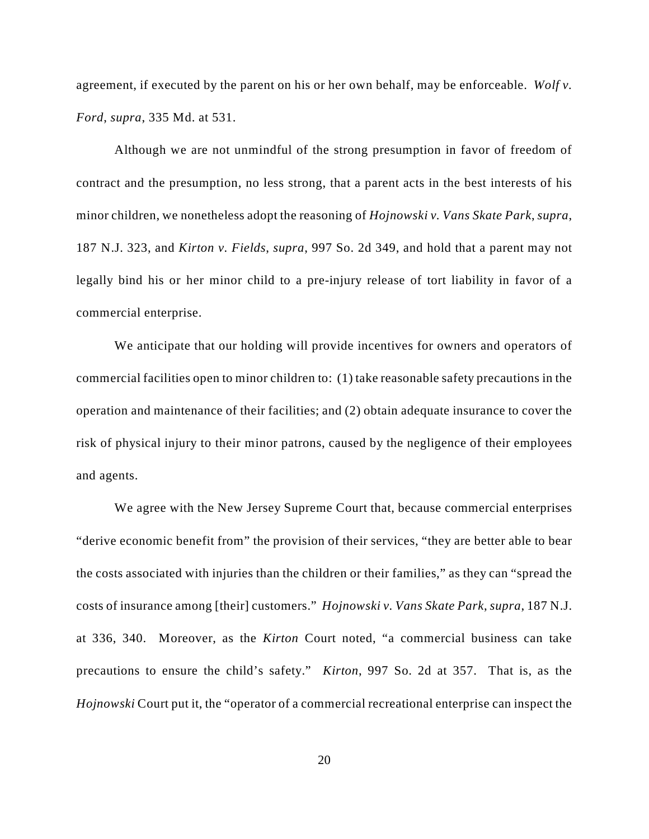agreement, if executed by the parent on his or her own behalf, may be enforceable. *Wolf v. Ford*, *supra*, 335 Md. at 531.

Although we are not unmindful of the strong presumption in favor of freedom of contract and the presumption, no less strong, that a parent acts in the best interests of his minor children, we nonetheless adopt the reasoning of *Hojnowski v. Vans Skate Park*, *supra*, 187 N.J. 323, and *Kirton v. Fields*, *supra*, 997 So. 2d 349, and hold that a parent may not legally bind his or her minor child to a pre-injury release of tort liability in favor of a commercial enterprise.

We anticipate that our holding will provide incentives for owners and operators of commercial facilities open to minor children to: (1) take reasonable safety precautions in the operation and maintenance of their facilities; and (2) obtain adequate insurance to cover the risk of physical injury to their minor patrons, caused by the negligence of their employees and agents.

We agree with the New Jersey Supreme Court that, because commercial enterprises "derive economic benefit from" the provision of their services, "they are better able to bear the costs associated with injuries than the children or their families," as they can "spread the costs of insurance among [their] customers." *Hojnowski v. Vans Skate Park*, *supra*, 187 N.J. at 336, 340. Moreover, as the *Kirton* Court noted, "a commercial business can take precautions to ensure the child's safety." *Kirton*, 997 So. 2d at 357. That is, as the *Hojnowski* Court put it, the "operator of a commercial recreational enterprise can inspect the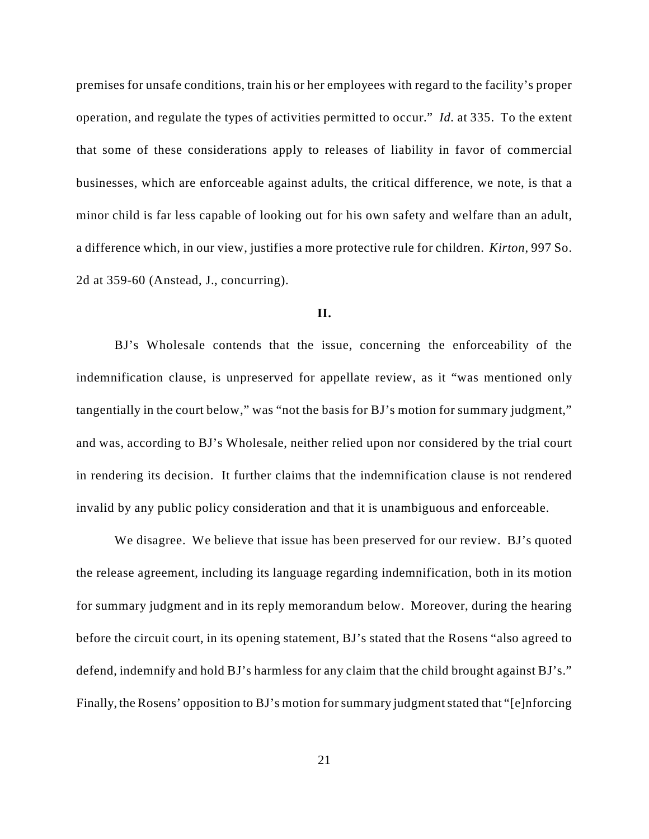premises for unsafe conditions, train his or her employees with regard to the facility's proper operation, and regulate the types of activities permitted to occur." *Id.* at 335. To the extent that some of these considerations apply to releases of liability in favor of commercial businesses, which are enforceable against adults, the critical difference, we note, is that a minor child is far less capable of looking out for his own safety and welfare than an adult, a difference which, in our view, justifies a more protective rule for children. *Kirton*, 997 So. 2d at 359-60 (Anstead, J., concurring).

## **II.**

BJ's Wholesale contends that the issue, concerning the enforceability of the indemnification clause, is unpreserved for appellate review, as it "was mentioned only tangentially in the court below," was "not the basis for BJ's motion for summary judgment," and was, according to BJ's Wholesale, neither relied upon nor considered by the trial court in rendering its decision. It further claims that the indemnification clause is not rendered invalid by any public policy consideration and that it is unambiguous and enforceable.

We disagree. We believe that issue has been preserved for our review. BJ's quoted the release agreement, including its language regarding indemnification, both in its motion for summary judgment and in its reply memorandum below. Moreover, during the hearing before the circuit court, in its opening statement, BJ's stated that the Rosens "also agreed to defend, indemnify and hold BJ's harmless for any claim that the child brought against BJ's." Finally, the Rosens' opposition to BJ's motion for summary judgment stated that "[e]nforcing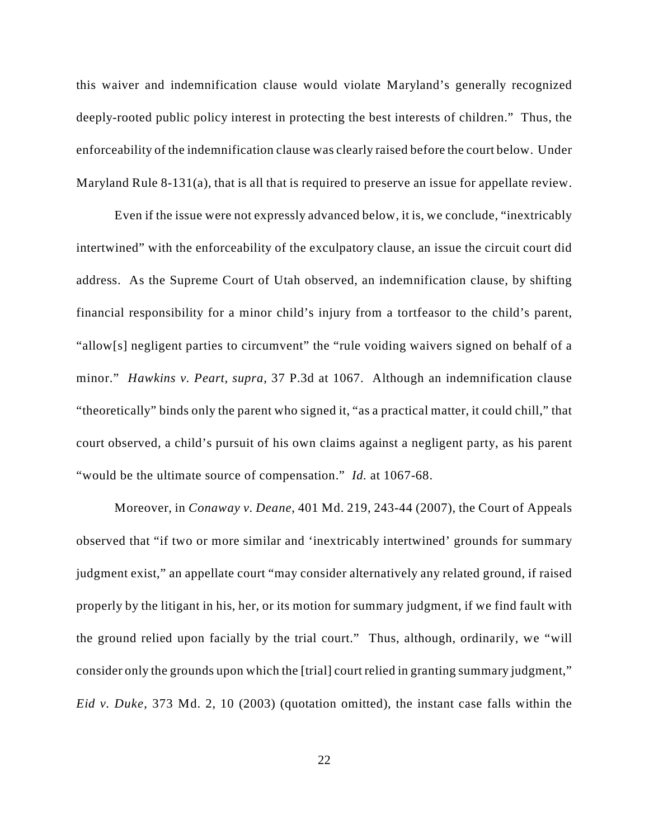this waiver and indemnification clause would violate Maryland's generally recognized deeply-rooted public policy interest in protecting the best interests of children." Thus, the enforceability of the indemnification clause was clearly raised before the court below. Under Maryland Rule 8-131(a), that is all that is required to preserve an issue for appellate review.

Even if the issue were not expressly advanced below, it is, we conclude, "inextricably intertwined" with the enforceability of the exculpatory clause, an issue the circuit court did address. As the Supreme Court of Utah observed, an indemnification clause, by shifting financial responsibility for a minor child's injury from a tortfeasor to the child's parent, "allow[s] negligent parties to circumvent" the "rule voiding waivers signed on behalf of a minor." *Hawkins v. Peart*, *supra*, 37 P.3d at 1067. Although an indemnification clause "theoretically" binds only the parent who signed it, "as a practical matter, it could chill," that court observed, a child's pursuit of his own claims against a negligent party, as his parent "would be the ultimate source of compensation." *Id.* at 1067-68.

Moreover, in *Conaway v. Deane*, 401 Md. 219, 243-44 (2007), the Court of Appeals observed that "if two or more similar and 'inextricably intertwined' grounds for summary judgment exist," an appellate court "may consider alternatively any related ground, if raised properly by the litigant in his, her, or its motion for summary judgment, if we find fault with the ground relied upon facially by the trial court." Thus, although, ordinarily, we "will consider only the grounds upon which the [trial] court relied in granting summary judgment," *Eid v. Duke*, 373 Md. 2, 10 (2003) (quotation omitted), the instant case falls within the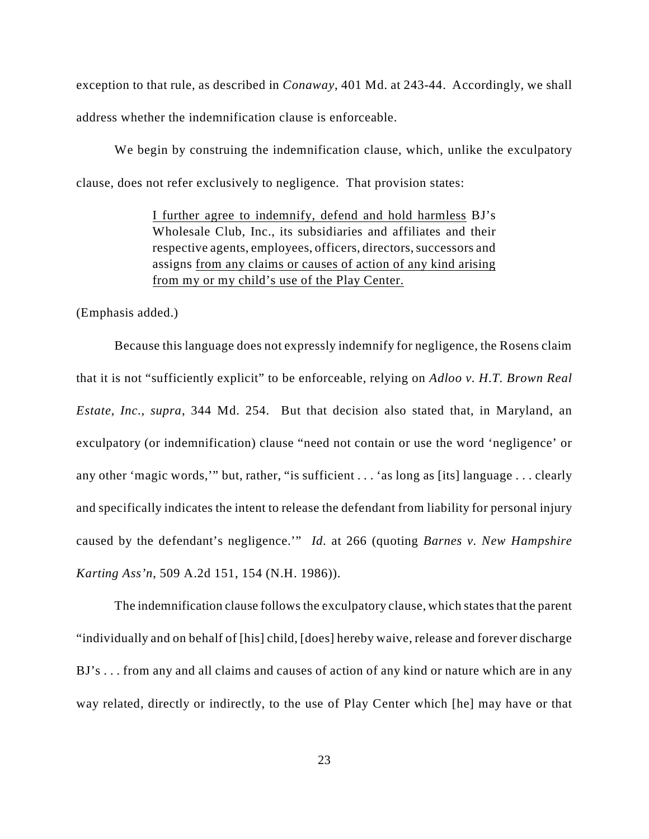exception to that rule, as described in *Conaway*, 401 Md. at 243-44. Accordingly, we shall address whether the indemnification clause is enforceable.

We begin by construing the indemnification clause, which, unlike the exculpatory clause, does not refer exclusively to negligence. That provision states:

> I further agree to indemnify, defend and hold harmless BJ's Wholesale Club, Inc., its subsidiaries and affiliates and their respective agents, employees, officers, directors, successors and assigns from any claims or causes of action of any kind arising from my or my child's use of the Play Center.

(Emphasis added.)

Because this language does not expressly indemnify for negligence, the Rosens claim that it is not "sufficiently explicit" to be enforceable, relying on *Adloo v. H.T. Brown Real Estate, Inc.*, *supra*, 344 Md. 254. But that decision also stated that, in Maryland, an exculpatory (or indemnification) clause "need not contain or use the word 'negligence' or any other 'magic words,'" but, rather, "is sufficient . . . 'as long as [its] language . . . clearly and specifically indicates the intent to release the defendant from liability for personal injury caused by the defendant's negligence.'" *Id.* at 266 (quoting *Barnes v. New Hampshire Karting Ass'n*, 509 A.2d 151, 154 (N.H. 1986)).

The indemnification clause follows the exculpatory clause, which states that the parent "individually and on behalf of [his] child, [does] hereby waive, release and forever discharge BJ's . . . from any and all claims and causes of action of any kind or nature which are in any way related, directly or indirectly, to the use of Play Center which [he] may have or that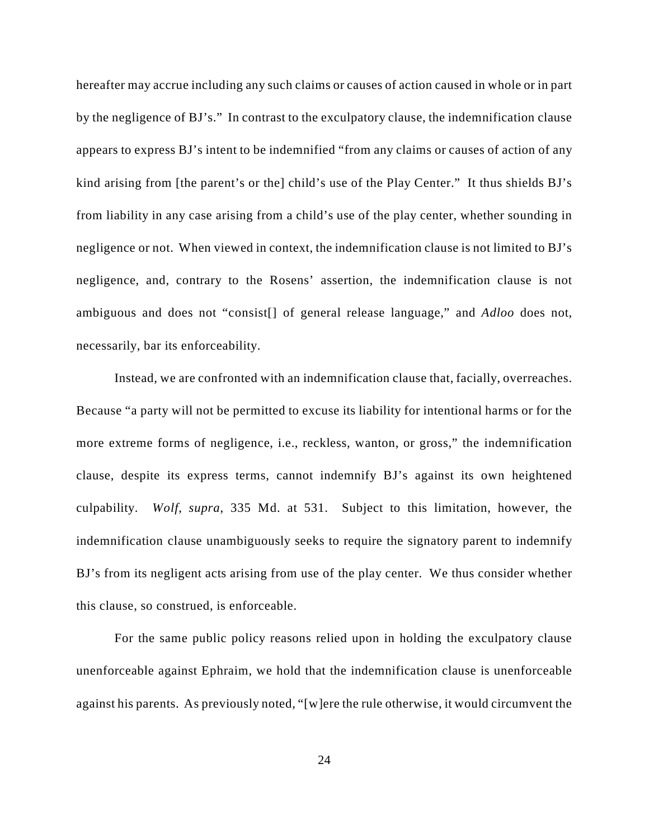hereafter may accrue including any such claims or causes of action caused in whole or in part by the negligence of BJ's." In contrast to the exculpatory clause, the indemnification clause appears to express BJ's intent to be indemnified "from any claims or causes of action of any kind arising from [the parent's or the] child's use of the Play Center." It thus shields BJ's from liability in any case arising from a child's use of the play center, whether sounding in negligence or not. When viewed in context, the indemnification clause is not limited to BJ's negligence, and, contrary to the Rosens' assertion, the indemnification clause is not ambiguous and does not "consist[] of general release language," and *Adloo* does not, necessarily, bar its enforceability.

Instead, we are confronted with an indemnification clause that, facially, overreaches. Because "a party will not be permitted to excuse its liability for intentional harms or for the more extreme forms of negligence, i.e., reckless, wanton, or gross," the indemnification clause, despite its express terms, cannot indemnify BJ's against its own heightened culpability. *Wolf*, *supra*, 335 Md. at 531. Subject to this limitation, however, the indemnification clause unambiguously seeks to require the signatory parent to indemnify BJ's from its negligent acts arising from use of the play center. We thus consider whether this clause, so construed, is enforceable.

For the same public policy reasons relied upon in holding the exculpatory clause unenforceable against Ephraim, we hold that the indemnification clause is unenforceable against his parents. As previously noted, "[w]ere the rule otherwise, it would circumvent the